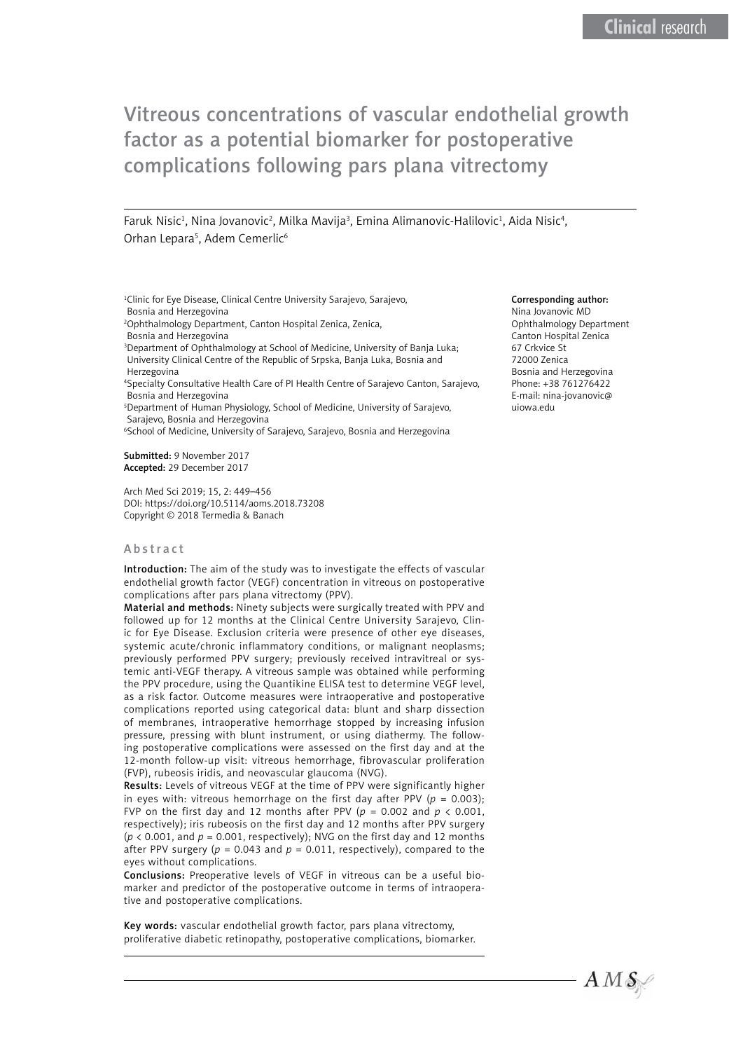# Vitreous concentrations of vascular endothelial growth factor as a potential biomarker for postoperative complications following pars plana vitrectomy

Faruk Nisic<sup>1</sup>, Nina Jovanovic<sup>2</sup>, Milka Mavija<sup>3</sup>, Emina Alimanovic-Halilovic<sup>1</sup>, Aida Nisic<sup>4</sup>, Orhan Lepara<sup>5</sup>, Adem Cemerlic<sup>6</sup>

1 Clinic for Eye Disease, Clinical Centre University Sarajevo, Sarajevo, Bosnia and Herzegovina

2 Ophthalmology Department, Canton Hospital Zenica, Zenica,

Bosnia and Herzegovina

<sup>3</sup>Department of Ophthalmology at School of Medicine, University of Banja Luka; University Clinical Centre of the Republic of Srpska, Banja Luka, Bosnia and Herzegovina

4 Specialty Consultative Health Care of PI Health Centre of Sarajevo Canton, Sarajevo, Bosnia and Herzegovina

5 Department of Human Physiology, School of Medicine, University of Sarajevo, Sarajevo, Bosnia and Herzegovina

6 School of Medicine, University of Sarajevo, Sarajevo, Bosnia and Herzegovina

Submitted: 9 November 2017 Accepted: 29 December 2017

Arch Med Sci 2019; 15, 2: 449–456 DOI: https://doi.org/10.5114/aoms.2018.73208 Copyright © 2018 Termedia & Banach

#### Abstract

Introduction: The aim of the study was to investigate the effects of vascular endothelial growth factor (VEGF) concentration in vitreous on postoperative complications after pars plana vitrectomy (PPV).

Material and methods: Ninety subjects were surgically treated with PPV and followed up for 12 months at the Clinical Centre University Sarajevo, Clinic for Eye Disease. Exclusion criteria were presence of other eye diseases, systemic acute/chronic inflammatory conditions, or malignant neoplasms; previously performed PPV surgery; previously received intravitreal or systemic anti-VEGF therapy. A vitreous sample was obtained while performing the PPV procedure, using the Quantikine ELISA test to determine VEGF level, as a risk factor. Outcome measures were intraoperative and postoperative complications reported using categorical data: blunt and sharp dissection of membranes, intraoperative hemorrhage stopped by increasing infusion pressure, pressing with blunt instrument, or using diathermy. The following postoperative complications were assessed on the first day and at the 12-month follow-up visit: vitreous hemorrhage, fibrovascular proliferation (FVP), rubeosis iridis, and neovascular glaucoma (NVG).

Results: Levels of vitreous VEGF at the time of PPV were significantly higher in eyes with: vitreous hemorrhage on the first day after PPV ( $p = 0.003$ ); FVP on the first day and 12 months after PPV ( $p = 0.002$  and  $p < 0.001$ , respectively); iris rubeosis on the first day and 12 months after PPV surgery ( $p$  < 0.001, and  $p$  = 0.001, respectively); NVG on the first day and 12 months after PPV surgery ( $p = 0.043$  and  $p = 0.011$ , respectively), compared to the eyes without complications.

Conclusions: Preoperative levels of VEGF in vitreous can be a useful biomarker and predictor of the postoperative outcome in terms of intraoperative and postoperative complications.

Key words: vascular endothelial growth factor, pars plana vitrectomy, proliferative diabetic retinopathy, postoperative complications, biomarker.

#### Corresponding author:

Nina Jovanovic MD Ophthalmology Department Canton Hospital Zenica 67 Crkvice St 72000 Zenica Bosnia and Herzegovina Phone: +38 761276422 E-mail: nina-jovanovic@ uiowa.edu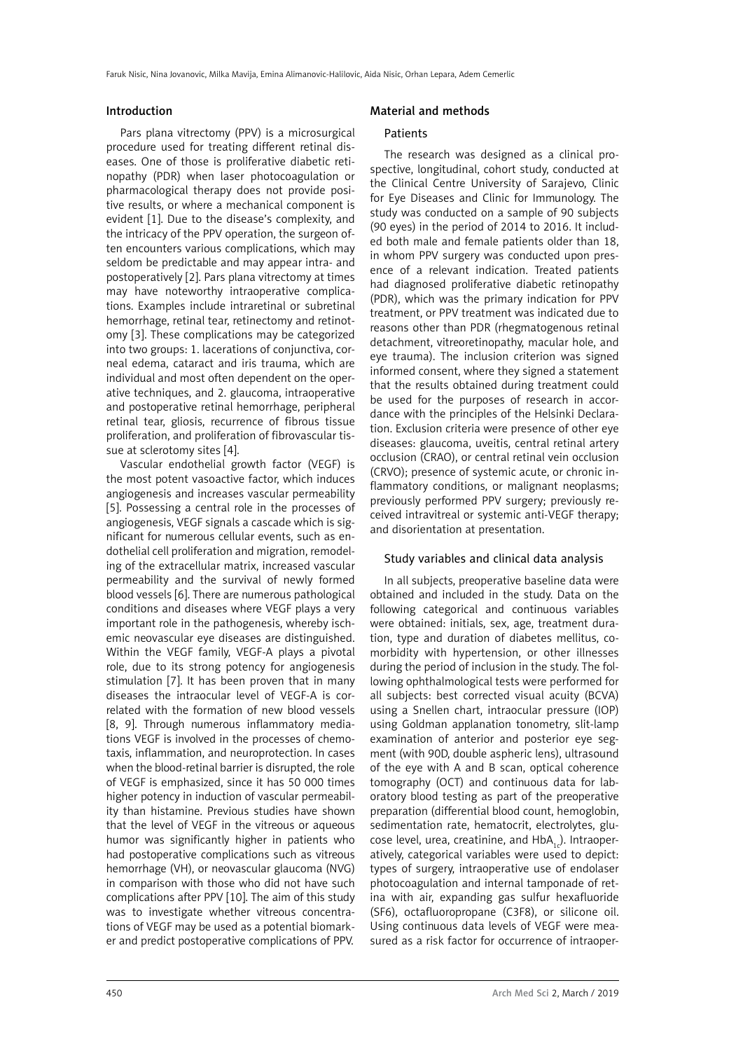## Introduction

Pars plana vitrectomy (PPV) is a microsurgical procedure used for treating different retinal diseases. One of those is proliferative diabetic retinopathy (PDR) when laser photocoagulation or pharmacological therapy does not provide positive results, or where a mechanical component is evident [1]. Due to the disease's complexity, and the intricacy of the PPV operation, the surgeon often encounters various complications, which may seldom be predictable and may appear intra- and postoperatively [2]. Pars plana vitrectomy at times may have noteworthy intraoperative complications. Examples include intraretinal or subretinal hemorrhage, retinal tear, retinectomy and retinotomy [3]. These complications may be categorized into two groups: 1. lacerations of conjunctiva, corneal edema, cataract and iris trauma, which are individual and most often dependent on the operative techniques, and 2. glaucoma, intraoperative and postoperative retinal hemorrhage, peripheral retinal tear, gliosis, recurrence of fibrous tissue proliferation, and proliferation of fibrovascular tissue at sclerotomy sites [4].

Vascular endothelial growth factor (VEGF) is the most potent vasoactive factor, which induces angiogenesis and increases vascular permeability [5]. Possessing a central role in the processes of angiogenesis, VEGF signals a cascade which is significant for numerous cellular events, such as endothelial cell proliferation and migration, remodeling of the extracellular matrix, increased vascular permeability and the survival of newly formed blood vessels [6]. There are numerous pathological conditions and diseases where VEGF plays a very important role in the pathogenesis, whereby ischemic neovascular eye diseases are distinguished. Within the VEGF family, VEGF-A plays a pivotal role, due to its strong potency for angiogenesis stimulation [7]. It has been proven that in many diseases the intraocular level of VEGF-A is correlated with the formation of new blood vessels [8, 9]. Through numerous inflammatory mediations VEGF is involved in the processes of chemotaxis, inflammation, and neuroprotection. In cases when the blood-retinal barrier is disrupted, the role of VEGF is emphasized, since it has 50 000 times higher potency in induction of vascular permeability than histamine. Previous studies have shown that the level of VEGF in the vitreous or aqueous humor was significantly higher in patients who had postoperative complications such as vitreous hemorrhage (VH), or neovascular glaucoma (NVG) in comparison with those who did not have such complications after PPV [10]. The aim of this study was to investigate whether vitreous concentrations of VEGF may be used as a potential biomarker and predict postoperative complications of PPV.

# Material and methods

#### **Patients**

The research was designed as a clinical prospective, longitudinal, cohort study, conducted at the Clinical Centre University of Sarajevo, Clinic for Eye Diseases and Clinic for Immunology. The study was conducted on a sample of 90 subjects (90 eyes) in the period of 2014 to 2016. It included both male and female patients older than 18, in whom PPV surgery was conducted upon presence of a relevant indication. Treated patients had diagnosed proliferative diabetic retinopathy (PDR), which was the primary indication for PPV treatment, or PPV treatment was indicated due to reasons other than PDR (rhegmatogenous retinal detachment, vitreoretinopathy, macular hole, and eye trauma). The inclusion criterion was signed informed consent, where they signed a statement that the results obtained during treatment could be used for the purposes of research in accordance with the principles of the Helsinki Declaration. Exclusion criteria were presence of other eye diseases: glaucoma, uveitis, central retinal artery occlusion (CRAO), or central retinal vein occlusion (CRVO); presence of systemic acute, or chronic inflammatory conditions, or malignant neoplasms; previously performed PPV surgery; previously received intravitreal or systemic anti-VEGF therapy; and disorientation at presentation.

#### Study variables and clinical data analysis

In all subjects, preoperative baseline data were obtained and included in the study. Data on the following categorical and continuous variables were obtained: initials, sex, age, treatment duration, type and duration of diabetes mellitus, comorbidity with hypertension, or other illnesses during the period of inclusion in the study. The following ophthalmological tests were performed for all subjects: best corrected visual acuity (BCVA) using a Snellen chart, intraocular pressure (IOP) using Goldman applanation tonometry, slit-lamp examination of anterior and posterior eye segment (with 90D, double aspheric lens), ultrasound of the eye with A and B scan, optical coherence tomography (OCT) and continuous data for laboratory blood testing as part of the preoperative preparation (differential blood count, hemoglobin, sedimentation rate, hematocrit, electrolytes, glucose level, urea, creatinine, and  $HbA_1$ ). Intraoperatively, categorical variables were used to depict: types of surgery, intraoperative use of endolaser photocoagulation and internal tamponade of retina with air, expanding gas sulfur hexafluoride (SF6), octafluoropropane (C3F8), or silicone oil. Using continuous data levels of VEGF were measured as a risk factor for occurrence of intraoper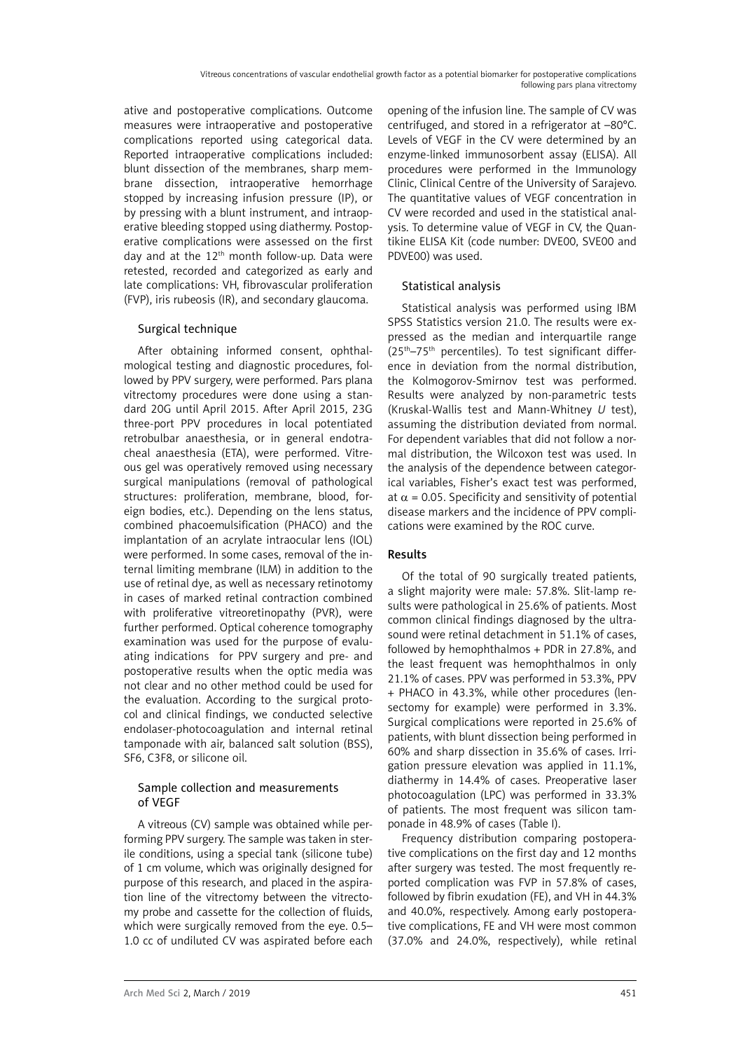ative and postoperative complications. Outcome measures were intraoperative and postoperative complications reported using categorical data. Reported intraoperative complications included: blunt dissection of the membranes, sharp membrane dissection, intraoperative hemorrhage stopped by increasing infusion pressure (IP), or by pressing with a blunt instrument, and intraoperative bleeding stopped using diathermy. Postoperative complications were assessed on the first day and at the 12th month follow-up. Data were retested, recorded and categorized as early and late complications: VH, fibrovascular proliferation (FVP), iris rubeosis (IR), and secondary glaucoma.

# Surgical technique

After obtaining informed consent, ophthalmological testing and diagnostic procedures, followed by PPV surgery, were performed. Pars plana vitrectomy procedures were done using a standard 20G until April 2015. After April 2015, 23G three-port PPV procedures in local potentiated retrobulbar anaesthesia, or in general endotracheal anaesthesia (ETA), were performed. Vitreous gel was operatively removed using necessary surgical manipulations (removal of pathological structures: proliferation, membrane, blood, foreign bodies, etc.). Depending on the lens status, combined phacoemulsification (PHACO) and the implantation of an acrylate intraocular lens (IOL) were performed. In some cases, removal of the internal limiting membrane (ILM) in addition to the use of retinal dye, as well as necessary retinotomy in cases of marked retinal contraction combined with proliferative vitreoretinopathy (PVR), were further performed. Optical coherence tomography examination was used for the purpose of evaluating indications for PPV surgery and pre- and postoperative results when the optic media was not clear and no other method could be used for the evaluation. According to the surgical protocol and clinical findings, we conducted selective endolaser-photocoagulation and internal retinal tamponade with air, balanced salt solution (BSS), SF6, C3F8, or silicone oil.

# Sample collection and measurements of VEGF

A vitreous (CV) sample was obtained while performing PPV surgery. The sample was taken in sterile conditions, using a special tank (silicone tube) of 1 cm volume, which was originally designed for purpose of this research, and placed in the aspiration line of the vitrectomy between the vitrectomy probe and cassette for the collection of fluids, which were surgically removed from the eye. 0.5– 1.0 cc of undiluted CV was aspirated before each opening of the infusion line. The sample of CV was centrifuged, and stored in a refrigerator at –80°C. Levels of VEGF in the CV were determined by an enzyme-linked immunosorbent assay (ELISA). All procedures were performed in the Immunology Clinic, Clinical Centre of the University of Sarajevo. The quantitative values of VEGF concentration in CV were recorded and used in the statistical analysis. To determine value of VEGF in CV, the Quantikine ELISA Kit (code number: DVE00, SVE00 and PDVE00) was used.

# Statistical analysis

Statistical analysis was performed using IBM SPSS Statistics version 21.0. The results were expressed as the median and interquartile range (25th–75th percentiles). To test significant difference in deviation from the normal distribution, the Kolmogorov-Smirnov test was performed. Results were analyzed by non-parametric tests (Kruskal-Wallis test and Mann-Whitney *U* test), assuming the distribution deviated from normal. For dependent variables that did not follow a normal distribution, the Wilcoxon test was used. In the analysis of the dependence between categorical variables, Fisher's exact test was performed, at  $\alpha$  = 0.05. Specificity and sensitivity of potential disease markers and the incidence of PPV complications were examined by the ROC curve.

# Results

Of the total of 90 surgically treated patients, a slight majority were male: 57.8%. Slit-lamp results were pathological in 25.6% of patients. Most common clinical findings diagnosed by the ultrasound were retinal detachment in 51.1% of cases, followed by hemophthalmos + PDR in 27.8%, and the least frequent was hemophthalmos in only 21.1% of cases. PPV was performed in 53.3%, PPV + PHACO in 43.3%, while other procedures (lensectomy for example) were performed in 3.3%. Surgical complications were reported in 25.6% of patients, with blunt dissection being performed in 60% and sharp dissection in 35.6% of cases. Irrigation pressure elevation was applied in 11.1%, diathermy in 14.4% of cases. Preoperative laser photocoagulation (LPC) was performed in 33.3% of patients. The most frequent was silicon tamponade in 48.9% of cases (Table I).

Frequency distribution comparing postoperative complications on the first day and 12 months after surgery was tested. The most frequently reported complication was FVP in 57.8% of cases, followed by fibrin exudation (FE), and VH in 44.3% and 40.0%, respectively. Among early postoperative complications, FE and VH were most common (37.0% and 24.0%, respectively), while retinal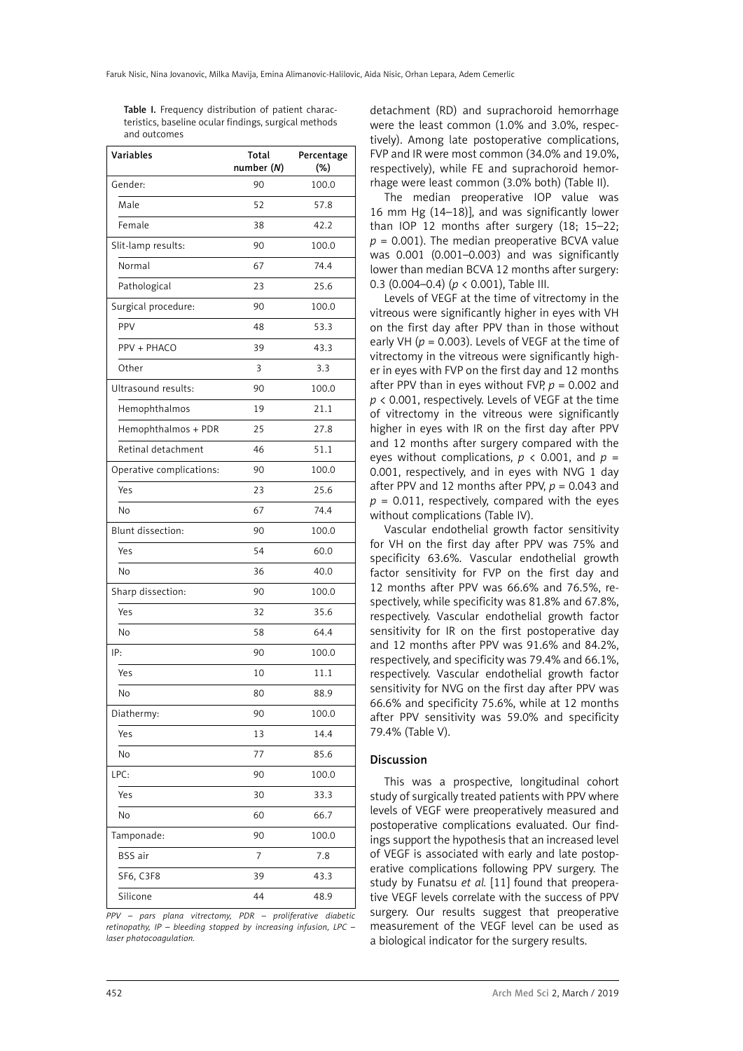|              | <b>Table I.</b> Frequency distribution of patient charac- |
|--------------|-----------------------------------------------------------|
|              | teristics, baseline ocular findings, surgical methods     |
| and outcomes |                                                           |

| Variables                | Total<br>number (N) | Percentage<br>(%) |
|--------------------------|---------------------|-------------------|
| Gender:                  | 90                  | 100.0             |
| Male                     | 52                  | 57.8              |
| Female                   | 38                  | 42.2              |
| Slit-lamp results:       | 90                  | 100.0             |
| Normal                   | 67                  | 74.4              |
| Pathological             | 23                  | 25.6              |
| Surgical procedure:      | 90                  | 100.0             |
| PPV                      | 48                  | 53.3              |
| PPV + PHACO              | 39                  | 43.3              |
| Other                    | 3                   | 3.3               |
| Ultrasound results:      | 90                  | 100.0             |
| Hemophthalmos            | 19                  | 21.1              |
| Hemophthalmos + PDR      | 25                  | 27.8              |
| Retinal detachment       | 46                  | 51.1              |
| Operative complications: | 90                  | 100.0             |
| Yes                      | 23                  | 25.6              |
| No                       | 67                  | 74.4              |
| Blunt dissection:        | 90                  | 100.0             |
| Yes                      | 54                  | 60.0              |
| No                       | 36                  | 40.0              |
| Sharp dissection:        | 90                  | 100.0             |
| Yes                      | 32                  | 35.6              |
| No                       | 58                  | 64.4              |
| IP:                      | 90                  | 100.0             |
| Yes                      | 10                  | 11.1              |
| No                       | 80                  | 88.9              |
| Diathermy:               | 90                  | 100.0             |
| Yes                      | 13                  | 14.4              |
| No                       | 77                  | 85.6              |
| LPC:                     | 90                  | 100.0             |
| Yes                      | 30                  | 33.3              |
| No                       | 60                  | 66.7              |
| Tamponade:               | 90                  | 100.0             |
| BSS air                  | 7                   | 7.8               |
| SF6, C3F8                | 39                  | 43.3              |
| Silicone                 | 44                  | 48.9              |

*PPV – pars plana vitrectomy, PDR – proliferative diabetic retinopathy, IP – bleeding stopped by increasing infusion, LPC – laser photocoagulation.*

detachment (RD) and suprachoroid hemorrhage were the least common (1.0% and 3.0%, respectively). Among late postoperative complications, FVP and IR were most common (34.0% and 19.0%, respectively), while FE and suprachoroid hemorrhage were least common (3.0% both) (Table II).

The median preoperative IOP value was 16 mm Hg (14–18)], and was significantly lower than IOP 12 months after surgery (18; 15–22;  $p = 0.001$ ). The median preoperative BCVA value was 0.001 (0.001–0.003) and was significantly lower than median BCVA 12 months after surgery: 0.3 (0.004–0.4) (*p* < 0.001), Table III.

Levels of VEGF at the time of vitrectomy in the vitreous were significantly higher in eyes with VH on the first day after PPV than in those without early VH  $(p = 0.003)$ . Levels of VEGF at the time of vitrectomy in the vitreous were significantly higher in eyes with FVP on the first day and 12 months after PPV than in eyes without FVP, *p* = 0.002 and *p* < 0.001, respectively. Levels of VEGF at the time of vitrectomy in the vitreous were significantly higher in eyes with IR on the first day after PPV and 12 months after surgery compared with the eyes without complications,  $p \lt 0.001$ , and  $p =$ 0.001, respectively, and in eyes with NVG 1 day after PPV and 12 months after PPV,  $p = 0.043$  and  $p = 0.011$ , respectively, compared with the eyes without complications (Table IV).

Vascular endothelial growth factor sensitivity for VH on the first day after PPV was 75% and specificity 63.6%. Vascular endothelial growth factor sensitivity for FVP on the first day and 12 months after PPV was 66.6% and 76.5%, respectively, while specificity was 81.8% and 67.8%, respectively. Vascular endothelial growth factor sensitivity for IR on the first postoperative day and 12 months after PPV was 91.6% and 84.2%, respectively, and specificity was 79.4% and 66.1%, respectively. Vascular endothelial growth factor sensitivity for NVG on the first day after PPV was 66.6% and specificity 75.6%, while at 12 months after PPV sensitivity was 59.0% and specificity 79.4% (Table V).

### Discussion

This was a prospective, longitudinal cohort study of surgically treated patients with PPV where levels of VEGF were preoperatively measured and postoperative complications evaluated. Our findings support the hypothesis that an increased level of VEGF is associated with early and late postoperative complications following PPV surgery. The study by Funatsu *et al.* [11] found that preoperative VEGF levels correlate with the success of PPV surgery. Our results suggest that preoperative measurement of the VEGF level can be used as a biological indicator for the surgery results.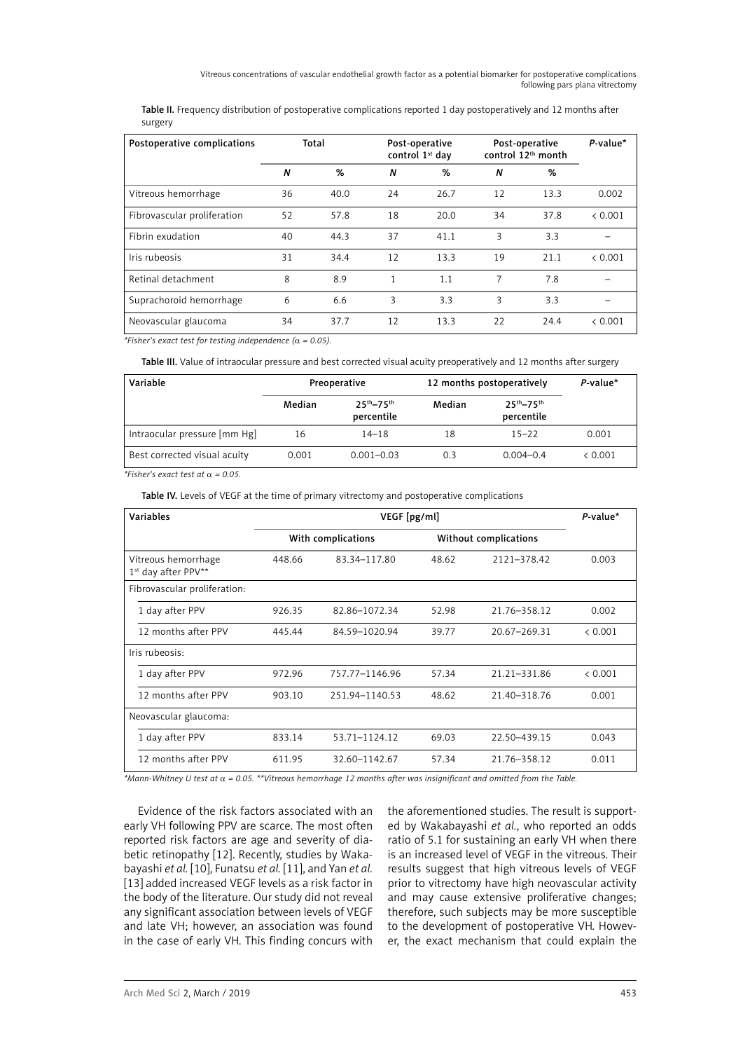| Postoperative complications | Total |      | Post-operative<br>control 1 <sup>st</sup> day |      | Post-operative<br>control 12 <sup>th</sup> month |      | $P$ -value* |
|-----------------------------|-------|------|-----------------------------------------------|------|--------------------------------------------------|------|-------------|
|                             | N     | %    | N                                             | %    | N                                                | %    |             |
| Vitreous hemorrhage         | 36    | 40.0 | 24                                            | 26.7 | 12                                               | 13.3 | 0.002       |
| Fibrovascular proliferation | 52    | 57.8 | 18                                            | 20.0 | 34                                               | 37.8 | & 0.001     |
| Fibrin exudation            | 40    | 44.3 | 37                                            | 41.1 | 3                                                | 3.3  |             |
| Iris rubeosis               | 31    | 34.4 | 12                                            | 13.3 | 19                                               | 21.1 | & 0.001     |
| Retinal detachment          | 8     | 8.9  | 1                                             | 1.1  | 7                                                | 7.8  |             |
| Suprachoroid hemorrhage     | 6     | 6.6  | 3                                             | 3.3  | 3                                                | 3.3  |             |
| Neovascular glaucoma        | 34    | 37.7 | 12                                            | 13.3 | 22                                               | 24.4 | & 0.001     |

Table II. Frequency distribution of postoperative complications reported 1 day postoperatively and 12 months after surgery

*\*Fisher's exact test for testing independence (*α *= 0.05).*

Table III. Value of intraocular pressure and best corrected visual acuity preoperatively and 12 months after surgery

| Variable                     | Preoperative |                                   | 12 months postoperatively | $P-value*$                        |         |
|------------------------------|--------------|-----------------------------------|---------------------------|-----------------------------------|---------|
|                              | Median       | $25^{th} - 75^{th}$<br>percentile | Median                    | $25^{th} - 75^{th}$<br>percentile |         |
| Intraocular pressure [mm Hg] | 16           | $14 - 18$                         | 18                        | $15 - 22$                         | 0.001   |
| Best corrected visual acuity | 0.001        | $0.001 - 0.03$                    | 0.3                       | $0.004 - 0.4$                     | & 0.001 |

*\*Fisher's exact test at* α *= 0.05.*

Table IV. Levels of VEGF at the time of primary vitrectomy and postoperative complications

| Variables                                              |                    | $P-value^*$    |                       |              |         |
|--------------------------------------------------------|--------------------|----------------|-----------------------|--------------|---------|
|                                                        | With complications |                | Without complications |              |         |
| Vitreous hemorrhage<br>1 <sup>st</sup> day after PPV** | 448.66             | 83.34-117.80   | 48.62                 | 2121-378.42  | 0.003   |
| Fibrovascular proliferation:                           |                    |                |                       |              |         |
| 1 day after PPV                                        | 926.35             | 82.86-1072.34  | 52.98                 | 21.76-358.12 | 0.002   |
| 12 months after PPV                                    | 445.44             | 84.59-1020.94  | 39.77                 | 20.67-269.31 | & 0.001 |
| Iris rubeosis:                                         |                    |                |                       |              |         |
| 1 day after PPV                                        | 972.96             | 757.77-1146.96 | 57.34                 | 21.21-331.86 | < 0.001 |
| 12 months after PPV                                    | 903.10             | 251.94-1140.53 | 48.62                 | 21.40-318.76 | 0.001   |
| Neovascular glaucoma:                                  |                    |                |                       |              |         |
| 1 day after PPV                                        | 833.14             | 53.71-1124.12  | 69.03                 | 22.50-439.15 | 0.043   |
| 12 months after PPV                                    | 611.95             | 32.60-1142.67  | 57.34                 | 21.76-358.12 | 0.011   |

*\*Mann-Whitney U test at* α *= 0.05. \*\*Vitreous hemorrhage 12 months after was insignificant and omitted from the Table.*

Evidence of the risk factors associated with an early VH following PPV are scarce. The most often reported risk factors are age and severity of diabetic retinopathy [12]. Recently, studies by Wakabayashi *et al.* [10], Funatsu *et al.* [11], and Yan *et al.* [13] added increased VEGF levels as a risk factor in the body of the literature. Our study did not reveal any significant association between levels of VEGF and late VH; however, an association was found in the case of early VH. This finding concurs with the aforementioned studies. The result is supported by Wakabayashi *et al.*, who reported an odds ratio of 5.1 for sustaining an early VH when there is an increased level of VEGF in the vitreous. Their results suggest that high vitreous levels of VEGF prior to vitrectomy have high neovascular activity and may cause extensive proliferative changes; therefore, such subjects may be more susceptible to the development of postoperative VH. However, the exact mechanism that could explain the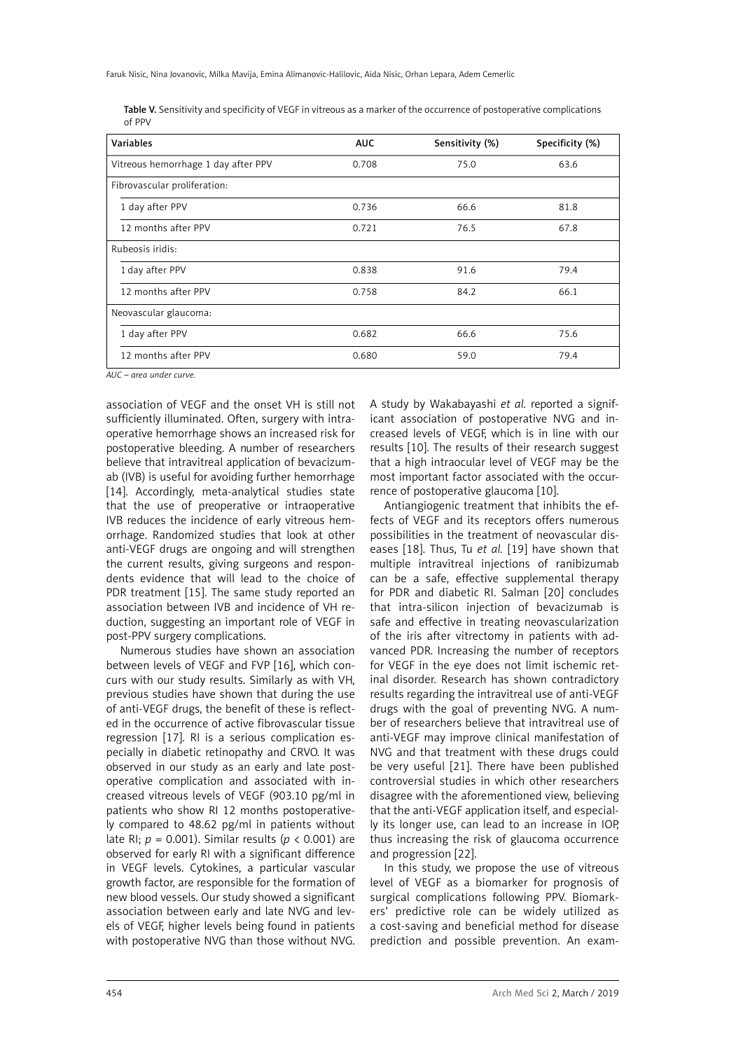| Variables                                                                                                                              | AUC | Sensitivity (%) | Specificity (%) |
|----------------------------------------------------------------------------------------------------------------------------------------|-----|-----------------|-----------------|
| <b>TWDIG TI</b> SCIISILITILY QUA SPOCHICILY OF TEST THE TILICOAS AS A HIMHIGH OF LITE OCCAHEMICE OF POSCOPORTAL COMPINATIONS<br>of PPV |     |                 |                 |

Table V. Sensitivity and specificity of VEGF in vitreous as a marker of the occurrence of postoperative complications

| <b>Valiables</b>                    | nuc   | <b>JEHSILIVILY (70)</b> | <b>Specificity</b> (70) |
|-------------------------------------|-------|-------------------------|-------------------------|
| Vitreous hemorrhage 1 day after PPV | 0.708 | 75.0                    | 63.6                    |
| Fibrovascular proliferation:        |       |                         |                         |
| 1 day after PPV                     | 0.736 | 66.6                    | 81.8                    |
| 12 months after PPV                 | 0.721 | 76.5                    | 67.8                    |
| Rubeosis iridis:                    |       |                         |                         |
| 1 day after PPV                     | 0.838 | 91.6                    | 79.4                    |
| 12 months after PPV                 | 0.758 | 84.2                    | 66.1                    |
| Neovascular glaucoma:               |       |                         |                         |
| 1 day after PPV                     | 0.682 | 66.6                    | 75.6                    |
| 12 months after PPV                 | 0.680 | 59.0                    | 79.4                    |

*AUC – area under curve.*

association of VEGF and the onset VH is still not sufficiently illuminated. Often, surgery with intraoperative hemorrhage shows an increased risk for postoperative bleeding. A number of researchers believe that intravitreal application of bevacizumab (IVB) is useful for avoiding further hemorrhage [14]. Accordingly, meta-analytical studies state that the use of preoperative or intraoperative IVB reduces the incidence of early vitreous hemorrhage. Randomized studies that look at other anti-VEGF drugs are ongoing and will strengthen the current results, giving surgeons and respondents evidence that will lead to the choice of PDR treatment [15]. The same study reported an association between IVB and incidence of VH reduction, suggesting an important role of VEGF in post-PPV surgery complications.

Numerous studies have shown an association between levels of VEGF and FVP [16], which concurs with our study results. Similarly as with VH, previous studies have shown that during the use of anti-VEGF drugs, the benefit of these is reflected in the occurrence of active fibrovascular tissue regression [17]. RI is a serious complication especially in diabetic retinopathy and CRVO. It was observed in our study as an early and late postoperative complication and associated with increased vitreous levels of VEGF (903.10 pg/ml in patients who show RI 12 months postoperatively compared to 48.62 pg/ml in patients without late RI; *p* = 0.001). Similar results (*p* < 0.001) are observed for early RI with a significant difference in VEGF levels. Cytokines, a particular vascular growth factor, are responsible for the formation of new blood vessels. Our study showed a significant association between early and late NVG and levels of VEGF, higher levels being found in patients with postoperative NVG than those without NVG. A study by Wakabayashi *et al.* reported a significant association of postoperative NVG and increased levels of VEGF, which is in line with our results [10]. The results of their research suggest that a high intraocular level of VEGF may be the most important factor associated with the occurrence of postoperative glaucoma [10].

Antiangiogenic treatment that inhibits the effects of VEGF and its receptors offers numerous possibilities in the treatment of neovascular diseases [18]. Thus, Tu *et al.* [19] have shown that multiple intravitreal injections of ranibizumab can be a safe, effective supplemental therapy for PDR and diabetic RI. Salman [20] concludes that intra-silicon injection of bevacizumab is safe and effective in treating neovascularization of the iris after vitrectomy in patients with advanced PDR. Increasing the number of receptors for VEGF in the eye does not limit ischemic retinal disorder. Research has shown contradictory results regarding the intravitreal use of anti-VEGF drugs with the goal of preventing NVG. A number of researchers believe that intravitreal use of anti-VEGF may improve clinical manifestation of NVG and that treatment with these drugs could be very useful [21]. There have been published controversial studies in which other researchers disagree with the aforementioned view, believing that the anti-VEGF application itself, and especially its longer use, can lead to an increase in IOP, thus increasing the risk of glaucoma occurrence and progression [22].

In this study, we propose the use of vitreous level of VEGF as a biomarker for prognosis of surgical complications following PPV. Biomarkers' predictive role can be widely utilized as a cost-saving and beneficial method for disease prediction and possible prevention. An exam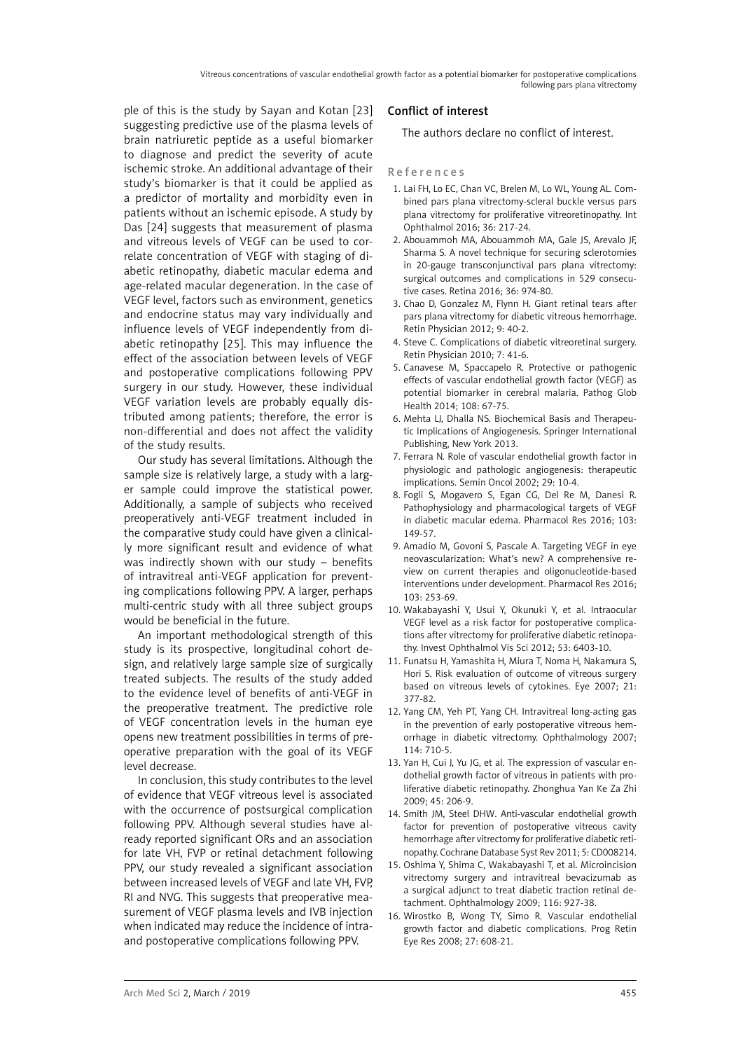ple of this is the study by Sayan and Kotan [23] suggesting predictive use of the plasma levels of brain natriuretic peptide as a useful biomarker to diagnose and predict the severity of acute ischemic stroke. An additional advantage of their study's biomarker is that it could be applied as a predictor of mortality and morbidity even in patients without an ischemic episode. A study by Das [24] suggests that measurement of plasma and vitreous levels of VEGF can be used to correlate concentration of VEGF with staging of diabetic retinopathy, diabetic macular edema and age-related macular degeneration. In the case of VEGF level, factors such as environment, genetics and endocrine status may vary individually and influence levels of VEGF independently from diabetic retinopathy [25]. This may influence the effect of the association between levels of VEGF and postoperative complications following PPV surgery in our study. However, these individual VEGF variation levels are probably equally distributed among patients; therefore, the error is non-differential and does not affect the validity of the study results.

Our study has several limitations. Although the sample size is relatively large, a study with a larger sample could improve the statistical power. Additionally, a sample of subjects who received preoperatively anti-VEGF treatment included in the comparative study could have given a clinically more significant result and evidence of what was indirectly shown with our study – benefits of intravitreal anti-VEGF application for preventing complications following PPV. A larger, perhaps multi-centric study with all three subject groups would be beneficial in the future.

An important methodological strength of this study is its prospective, longitudinal cohort design, and relatively large sample size of surgically treated subjects. The results of the study added to the evidence level of benefits of anti-VEGF in the preoperative treatment. The predictive role of VEGF concentration levels in the human eye opens new treatment possibilities in terms of preoperative preparation with the goal of its VEGF level decrease.

In conclusion, this study contributes to the level of evidence that VEGF vitreous level is associated with the occurrence of postsurgical complication following PPV. Although several studies have already reported significant ORs and an association for late VH, FVP or retinal detachment following PPV, our study revealed a significant association between increased levels of VEGF and late VH, FVP, RI and NVG. This suggests that preoperative measurement of VEGF plasma levels and IVB injection when indicated may reduce the incidence of intraand postoperative complications following PPV.

# Conflict of interest

The authors declare no conflict of interest.

## References

- 1. Lai FH, Lo EC, Chan VC, Brelen M, Lo WL, Young AL. Combined pars plana vitrectomy-scleral buckle versus pars plana vitrectomy for proliferative vitreoretinopathy. Int Ophthalmol 2016; 36: 217-24.
- 2. Abouammoh MA, Abouammoh MA, Gale JS, Arevalo JF, Sharma S. A novel technique for securing sclerotomies in 20-gauge transconjunctival pars plana vitrectomy: surgical outcomes and complications in 529 consecutive cases. Retina 2016; 36: 974-80.
- 3. Chao D, Gonzalez M, Flynn H. Giant retinal tears after pars plana vitrectomy for diabetic vitreous hemorrhage. Retin Physician 2012; 9: 40-2.
- 4. Steve C. Complications of diabetic vitreoretinal surgery. Retin Physician 2010; 7: 41-6.
- 5. Canavese M, Spaccapelo R. Protective or pathogenic effects of vascular endothelial growth factor (VEGF) as potential biomarker in cerebral malaria. Pathog Glob Health 2014; 108: 67-75.
- 6. Mehta LJ, Dhalla NS. Biochemical Basis and Therapeutic Implications of Angiogenesis. Springer International Publishing, New York 2013.
- 7. Ferrara N. Role of vascular endothelial growth factor in physiologic and pathologic angiogenesis: therapeutic implications. Semin Oncol 2002; 29: 10-4.
- 8. Fogli S, Mogavero S, Egan CG, Del Re M, Danesi R. Pathophysiology and pharmacological targets of VEGF in diabetic macular edema. Pharmacol Res 2016; 103: 149-57.
- 9. Amadio M, Govoni S, Pascale A. Targeting VEGF in eye neovascularization: What's new? A comprehensive review on current therapies and oligonucleotide-based interventions under development. Pharmacol Res 2016; 103: 253-69.
- 10. Wakabayashi Y, Usui Y, Okunuki Y, et al. Intraocular VEGF level as a risk factor for postoperative complications after vitrectomy for proliferative diabetic retinopathy. Invest Ophthalmol Vis Sci 2012; 53: 6403-10.
- 11. Funatsu H, Yamashita H, Miura T, Noma H, Nakamura S, Hori S. Risk evaluation of outcome of vitreous surgery based on vitreous levels of cytokines. Eye 2007; 21: 377-82.
- 12. Yang CM, Yeh PT, Yang CH. Intravitreal long-acting gas in the prevention of early postoperative vitreous hemorrhage in diabetic vitrectomy. Ophthalmology 2007; 114: 710-5.
- 13. Yan H, Cui J, Yu JG, et al. The expression of vascular endothelial growth factor of vitreous in patients with proliferative diabetic retinopathy. Zhonghua Yan Ke Za Zhi 2009; 45: 206-9.
- 14. Smith JM, Steel DHW. Anti-vascular endothelial growth factor for prevention of postoperative vitreous cavity hemorrhage after vitrectomy for proliferative diabetic retinopathy. Cochrane Database Syst Rev 2011; 5: CD008214.
- 15. Oshima Y, Shima C, Wakabayashi T, et al. Microincision vitrectomy surgery and intravitreal bevacizumab as a surgical adjunct to treat diabetic traction retinal detachment. Ophthalmology 2009; 116: 927-38.
- 16. Wirostko B, Wong TY, Simo R. Vascular endothelial growth factor and diabetic complications. Prog Retin Eye Res 2008; 27: 608-21.